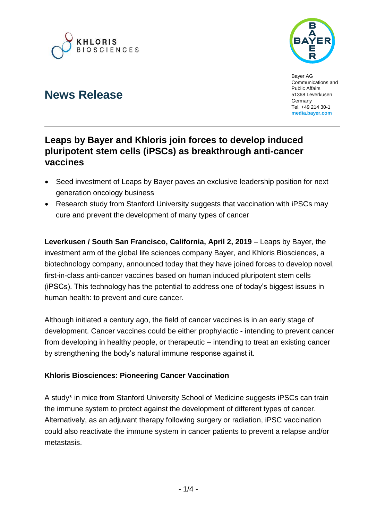



Bayer AG Communications and Public Affairs 51368 Leverkusen **Germany** Tel. +49 214 30-1 **[media.bayer.com](http://media.bayer.de/)**

# **News Release**

## **Leaps by Bayer and Khloris join forces to develop induced pluripotent stem cells (iPSCs) as breakthrough anti-cancer vaccines**

- Seed investment of Leaps by Bayer paves an exclusive leadership position for next generation oncology business
- Research study from Stanford University suggests that vaccination with iPSCs may cure and prevent the development of many types of cancer

**Leverkusen / South San Francisco, California, April 2, 2019** – Leaps by Bayer, the investment arm of the global life sciences company Bayer, and Khloris Biosciences, a biotechnology company, announced today that they have joined forces to develop novel, first-in-class anti-cancer vaccines based on human induced pluripotent stem cells (iPSCs). This technology has the potential to address one of today's biggest issues in human health: to prevent and cure cancer.

Although initiated a century ago, the field of cancer vaccines is in an early stage of development. Cancer vaccines could be either prophylactic - intending to prevent cancer from developing in healthy people, or therapeutic – intending to treat an existing cancer by strengthening the body's natural immune response against it.

### **Khloris Biosciences: Pioneering Cancer Vaccination**

A study\* in mice from Stanford University School of Medicine suggests iPSCs can train the immune system to protect against the development of different types of cancer. Alternatively, as an adjuvant therapy following surgery or radiation, iPSC vaccination could also reactivate the immune system in cancer patients to prevent a relapse and/or metastasis.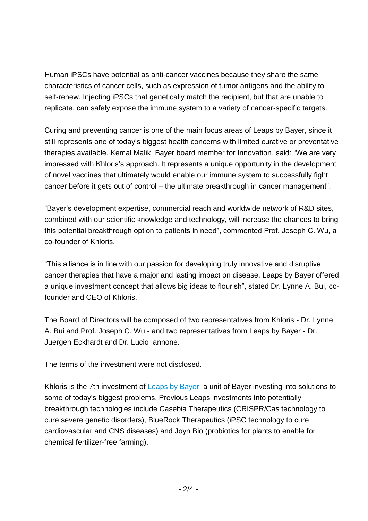Human iPSCs have potential as anti-cancer vaccines because they share the same characteristics of cancer cells, such as expression of tumor antigens and the ability to self-renew. Injecting iPSCs that genetically match the recipient, but that are unable to replicate, can safely expose the immune system to a variety of cancer-specific targets.

Curing and preventing cancer is one of the main focus areas of Leaps by Bayer, since it still represents one of today's biggest health concerns with limited curative or preventative therapies available. Kemal Malik, Bayer board member for Innovation, said: "We are very impressed with Khloris's approach. It represents a unique opportunity in the development of novel vaccines that ultimately would enable our immune system to successfully fight cancer before it gets out of control – the ultimate breakthrough in cancer management".

"Bayer's development expertise, commercial reach and worldwide network of R&D sites, combined with our scientific knowledge and technology, will increase the chances to bring this potential breakthrough option to patients in need", commented Prof. Joseph C. Wu, a co-founder of Khloris.

"This alliance is in line with our passion for developing truly innovative and disruptive cancer therapies that have a major and lasting impact on disease. Leaps by Bayer offered a unique investment concept that allows big ideas to flourish", stated Dr. Lynne A. Bui, cofounder and CEO of Khloris.

The Board of Directors will be composed of two representatives from Khloris - Dr. Lynne A. Bui and Prof. Joseph C. Wu - and two representatives from Leaps by Bayer - Dr. Juergen Eckhardt and Dr. Lucio Iannone.

The terms of the investment were not disclosed.

Khloris is the 7th investment of [Leaps by Bayer,](https://leaps.bayer.com/) a unit of Bayer investing into solutions to some of today's biggest problems. Previous Leaps investments into potentially breakthrough technologies include Casebia Therapeutics (CRISPR/Cas technology to cure severe genetic disorders), BlueRock Therapeutics (iPSC technology to cure cardiovascular and CNS diseases) and Joyn Bio (probiotics for plants to enable for chemical fertilizer-free farming).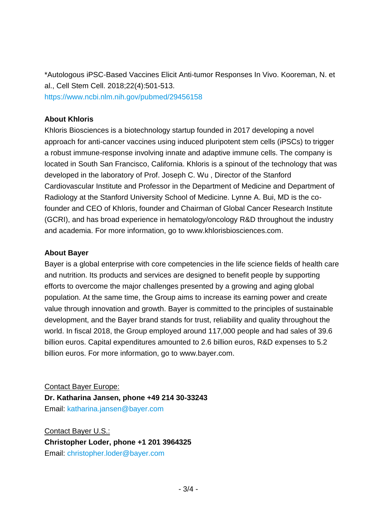\*Autologous iPSC-Based Vaccines Elicit Anti-tumor Responses In Vivo. Kooreman, N. et al., Cell Stem Cell. 2018;22(4):501-513. <https://www.ncbi.nlm.nih.gov/pubmed/29456158>

#### **About Khloris**

Khloris Biosciences is a biotechnology startup founded in 2017 developing a novel approach for anti-cancer vaccines using induced pluripotent stem cells (iPSCs) to trigger a robust immune-response involving innate and adaptive immune cells. The company is located in South San Francisco, California. Khloris is a spinout of the technology that was developed in the laboratory of Prof. Joseph C. Wu , Director of the Stanford Cardiovascular Institute and Professor in the Department of Medicine and Department of Radiology at the Stanford University School of Medicine. Lynne A. Bui, MD is the cofounder and CEO of Khloris, founder and Chairman of Global Cancer Research Institute (GCRI), and has broad experience in hematology/oncology R&D throughout the industry and academia. For more information, go to [www.khlorisbiosciences.com.](http://www.khlorisbiosciences.com/)

#### **About Bayer**

Bayer is a global enterprise with core competencies in the life science fields of health care and nutrition. Its products and services are designed to benefit people by supporting efforts to overcome the major challenges presented by a growing and aging global population. At the same time, the Group aims to increase its earning power and create value through innovation and growth. Bayer is committed to the principles of sustainable development, and the Bayer brand stands for trust, reliability and quality throughout the world. In fiscal 2018, the Group employed around 117,000 people and had sales of 39.6 billion euros. Capital expenditures amounted to 2.6 billion euros, R&D expenses to 5.2 billion euros. For more information, go to [www.bayer.com.](http://www.bayer.com/)

Contact Bayer Europe: **Dr. Katharina Jansen, phone +49 214 30-33243** Email: [katharina.jansen@bayer.com](mailto:katharina.jansen@bayer.com)

Contact Bayer U.S.: **Christopher Loder, phone +1 201 3964325** Email: [christopher.loder@bayer.com](mailto:christopher.loder@bayer.com)